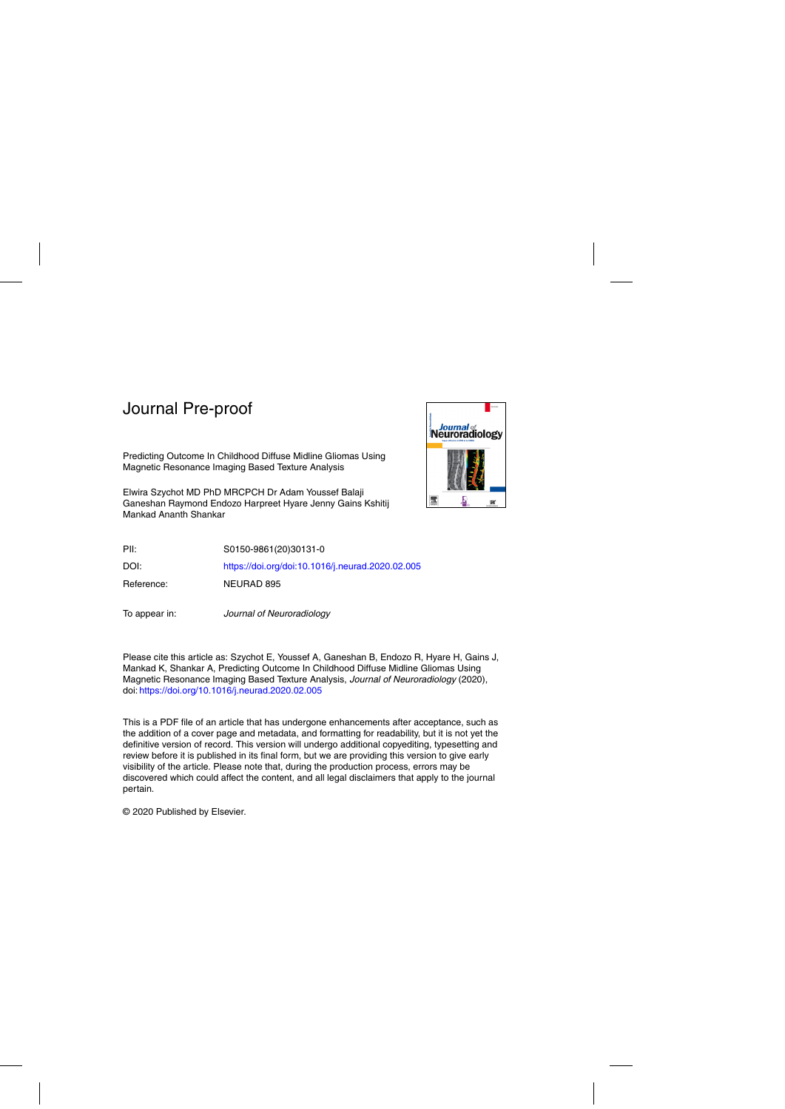

Predicting Outcome In Childhood Diffuse Midline Gliomas Using Magnetic Resonance Imaging Based Texture Analysis

Elwira Szychot MD PhD MRCPCH Dr Adam Youssef Balaji Ganeshan Raymond Endozo Harpreet Hyare Jenny Gains Kshitij Mankad Ananth Shankar

PII: S0150-9861(20)30131-0

DOI: <https://doi.org/doi:10.1016/j.neurad.2020.02.005>

Reference: NEURAD 895

To appear in: Journal of Neuroradiology

Please cite this article as: Szychot E, Youssef A, Ganeshan B, Endozo R, Hyare H, Gains J, Mankad K, Shankar A, Predicting Outcome In Childhood Diffuse Midline Gliomas Using Magnetic Resonance Imaging Based Texture Analysis, Journal of Neuroradiology (2020), doi: <https://doi.org/10.1016/j.neurad.2020.02.005>

This is a PDF file of an article that has undergone enhancements after acceptance, such as the addition of a cover page and metadata, and formatting for readability, but it is not yet the definitive version of record. This version will undergo additional copyediting, typesetting and review before it is published in its final form, but we are providing this version to give early visibility of the article. Please note that, during the production process, errors may be discovered which could affect the content, and all legal disclaimers that apply to the journal pertain.

© 2020 Published by Elsevier.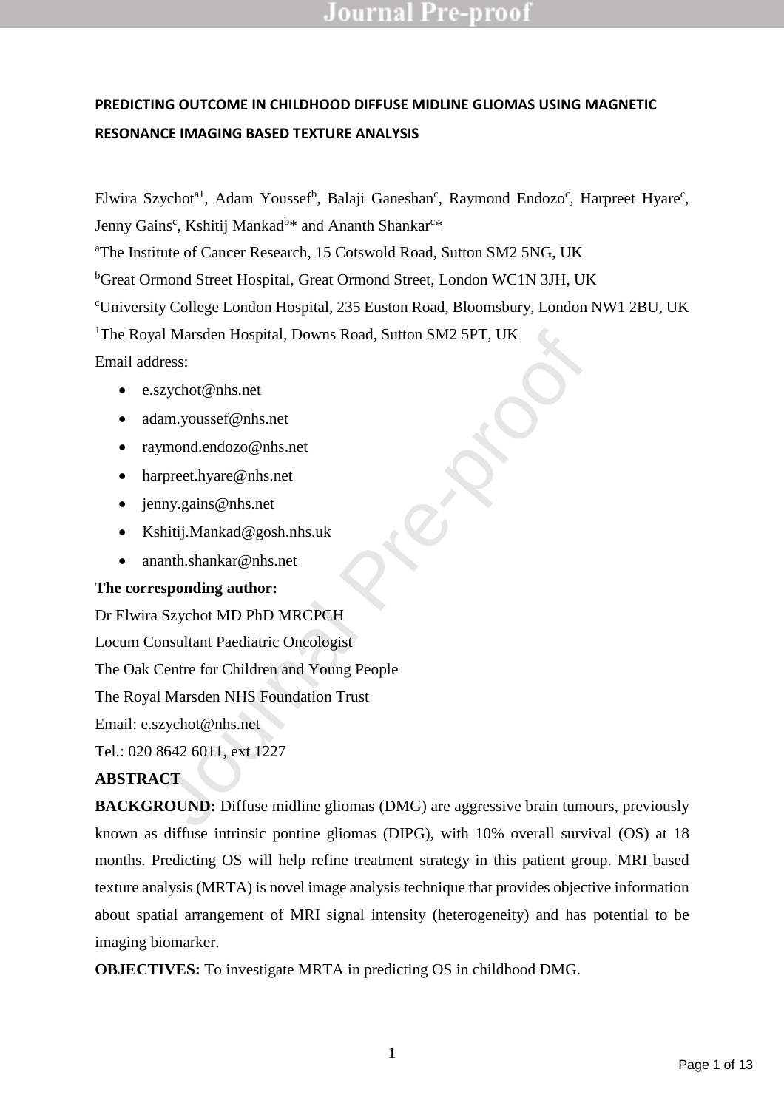## **PREDICTING OUTCOME IN CHILDHOOD DIFFUSE MIDLINE GLIOMAS USING MAGNETIC RESONANCE IMAGING BASED TEXTURE ANALYSIS**

Elwira Szychot<sup>a1</sup>, Adam Youssef<sup>b</sup>, Balaji Ganeshan<sup>c</sup>, Raymond Endozo<sup>c</sup>, Harpreet Hyare<sup>c</sup>, Jenny Gains<sup>c</sup>, Kshitij Mankad<sup>b</sup>\* and Ananth Shankar<sup>c</sup>\*

<sup>a</sup>The Institute of Cancer Research, 15 Cotswold Road, Sutton SM2 5NG, UK

<sup>b</sup>Great Ormond Street Hospital, Great Ormond Street, London WC1N 3JH, UK

<sup>c</sup>University College London Hospital, 235 Euston Road, Bloomsbury, London NW1 2BU, UK

<sup>1</sup>The Royal Marsden Hospital, Downs Road, Sutton SM2 5PT, UK

Email address:

- e.szychot@nhs.net
- adam.youssef@nhs.net
- raymond.endozo@nhs.net
- harpreet.hyare@nhs.net
- jenny.gains@nhs.net
- Kshitij.Mankad@gosh.nhs.uk
- ananth.shankar@nhs.net

## **The corresponding author:**

al Marsden Hospital, Downs Road, Sutton SM2 5PT, UK<br>dress:<br>szychot@nhs.net<br>lam.youssef@nhs.net<br>ymond.endozo@nhs.net<br>appre-proof.net<br>sychot@nhs.net<br>appre-proof.net<br>appre-proof.net<br>approach.net<br>said:J.Mankad@gosh.nhs.uk<br>appr Dr Elwira Szychot MD PhD MRCPCH Locum Consultant Paediatric Oncologist The Oak Centre for Children and Young People The Royal Marsden NHS Foundation Trust Email: e.szychot@nhs.net Tel.: 020 8642 6011, ext 1227

## **ABSTRACT**

**BACKGROUND:** Diffuse midline gliomas (DMG) are aggressive brain tumours, previously known as diffuse intrinsic pontine gliomas (DIPG), with 10% overall survival (OS) at 18 months. Predicting OS will help refine treatment strategy in this patient group. MRI based texture analysis (MRTA) is novel image analysis technique that provides objective information about spatial arrangement of MRI signal intensity (heterogeneity) and has potential to be imaging biomarker.

**OBJECTIVES:** To investigate MRTA in predicting OS in childhood DMG.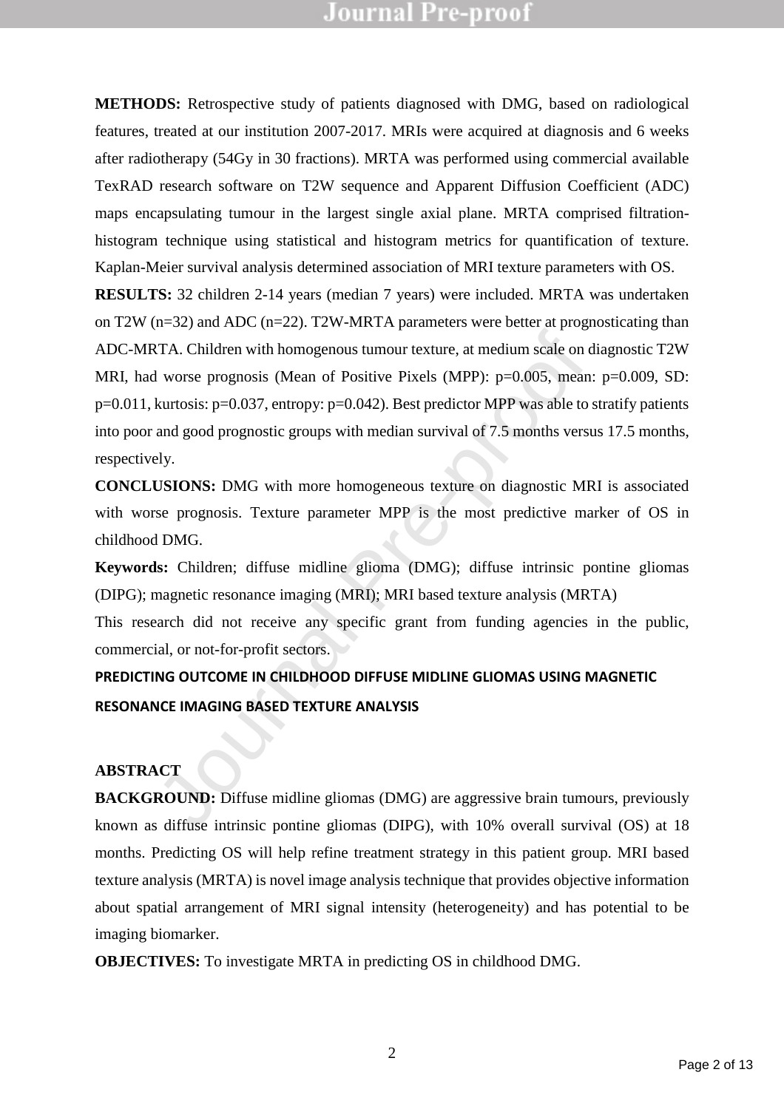**METHODS:** Retrospective study of patients diagnosed with DMG, based on radiological features, treated at our institution 2007-2017. MRIs were acquired at diagnosis and 6 weeks after radiotherapy (54Gy in 30 fractions). MRTA was performed using commercial available TexRAD research software on T2W sequence and Apparent Diffusion Coefficient (ADC) maps encapsulating tumour in the largest single axial plane. MRTA comprised filtrationhistogram technique using statistical and histogram metrics for quantification of texture. Kaplan-Meier survival analysis determined association of MRI texture parameters with OS.

**EXALTA.** Children with homogenous tumour texture, at medium scale on d<br>
1 worse prognosis (Mean of Positive Pixels (MPP):  $p=0.005$ , mean:<br>
kurtosis:  $p=0.037$ , entropy:  $p=0.042$ ). Best predictor MPP was able to s<br>
and **RESULTS:** 32 children 2-14 years (median 7 years) were included. MRTA was undertaken on T2W (n=32) and ADC (n=22). T2W-MRTA parameters were better at prognosticating than ADC-MRTA. Children with homogenous tumour texture, at medium scale on diagnostic T2W MRI, had worse prognosis (Mean of Positive Pixels (MPP): p=0.005, mean: p=0.009, SD: p=0.011, kurtosis: p=0.037, entropy: p=0.042). Best predictor MPP was able to stratify patients into poor and good prognostic groups with median survival of 7.5 months versus 17.5 months, respectively.

**CONCLUSIONS:** DMG with more homogeneous texture on diagnostic MRI is associated with worse prognosis. Texture parameter MPP is the most predictive marker of OS in childhood DMG.

**Keywords:** Children; diffuse midline glioma (DMG); diffuse intrinsic pontine gliomas (DIPG); magnetic resonance imaging (MRI); MRI based texture analysis (MRTA)

This research did not receive any specific grant from funding agencies in the public, commercial, or not-for-profit sectors.

## **PREDICTING OUTCOME IN CHILDHOOD DIFFUSE MIDLINE GLIOMAS USING MAGNETIC RESONANCE IMAGING BASED TEXTURE ANALYSIS**

## **ABSTRACT**

**BACKGROUND:** Diffuse midline gliomas (DMG) are aggressive brain tumours, previously known as diffuse intrinsic pontine gliomas (DIPG), with 10% overall survival (OS) at 18 months. Predicting OS will help refine treatment strategy in this patient group. MRI based texture analysis (MRTA) is novel image analysis technique that provides objective information about spatial arrangement of MRI signal intensity (heterogeneity) and has potential to be imaging biomarker.

**OBJECTIVES:** To investigate MRTA in predicting OS in childhood DMG.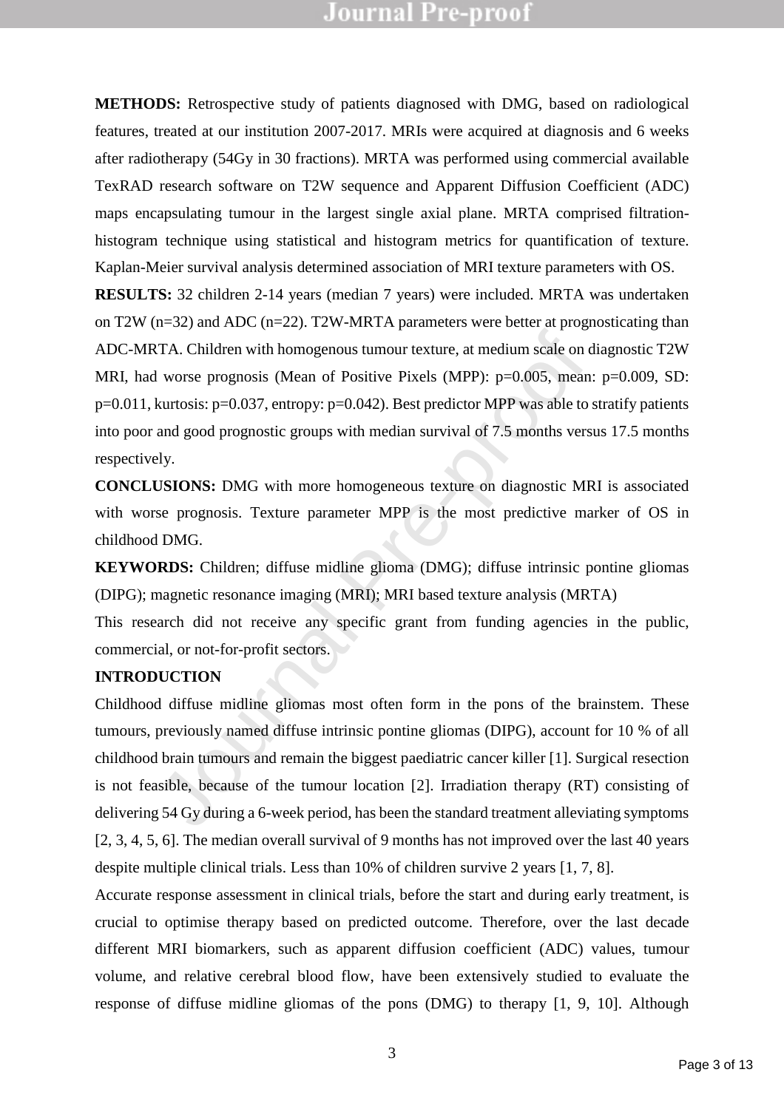**METHODS:** Retrospective study of patients diagnosed with DMG, based on radiological features, treated at our institution 2007-2017. MRIs were acquired at diagnosis and 6 weeks after radiotherapy (54Gy in 30 fractions). MRTA was performed using commercial available TexRAD research software on T2W sequence and Apparent Diffusion Coefficient (ADC) maps encapsulating tumour in the largest single axial plane. MRTA comprised filtrationhistogram technique using statistical and histogram metrics for quantification of texture. Kaplan-Meier survival analysis determined association of MRI texture parameters with OS.

TA. Children with homogenous tumour texture, at medium scale on d<br>
1 worse prognosis (Mean of Positive Pixels (MPP):  $p=0.005$ , mean:<br>
kurtosis:  $p=0.037$ , entropy:  $p=0.042$ ). Best predictor MPP was able to s<br>
and good p **RESULTS:** 32 children 2-14 years (median 7 years) were included. MRTA was undertaken on T2W ( $n=32$ ) and ADC ( $n=22$ ). T2W-MRTA parameters were better at prognosticating than ADC-MRTA. Children with homogenous tumour texture, at medium scale on diagnostic T2W MRI, had worse prognosis (Mean of Positive Pixels (MPP): p=0.005, mean: p=0.009, SD: p=0.011, kurtosis: p=0.037, entropy: p=0.042). Best predictor MPP was able to stratify patients into poor and good prognostic groups with median survival of 7.5 months versus 17.5 months respectively.

**CONCLUSIONS:** DMG with more homogeneous texture on diagnostic MRI is associated with worse prognosis. Texture parameter MPP is the most predictive marker of OS in childhood DMG.

**KEYWORDS:** Children; diffuse midline glioma (DMG); diffuse intrinsic pontine gliomas (DIPG); magnetic resonance imaging (MRI); MRI based texture analysis (MRTA)

This research did not receive any specific grant from funding agencies in the public, commercial, or not-for-profit sectors.

### **INTRODUCTION**

Childhood diffuse midline gliomas most often form in the pons of the brainstem. These tumours, previously named diffuse intrinsic pontine gliomas (DIPG), account for 10 % of all childhood brain tumours and remain the biggest paediatric cancer killer [1]. Surgical resection is not feasible, because of the tumour location [2]. Irradiation therapy (RT) consisting of delivering 54 Gy during a 6-week period, has been the standard treatment alleviating symptoms [2, 3, 4, 5, 6]. The median overall survival of 9 months has not improved over the last 40 years despite multiple clinical trials. Less than 10% of children survive 2 years [1, 7, 8].

Accurate response assessment in clinical trials, before the start and during early treatment, is crucial to optimise therapy based on predicted outcome. Therefore, over the last decade different MRI biomarkers, such as apparent diffusion coefficient (ADC) values, tumour volume, and relative cerebral blood flow, have been extensively studied to evaluate the response of diffuse midline gliomas of the pons (DMG) to therapy [1, 9, 10]. Although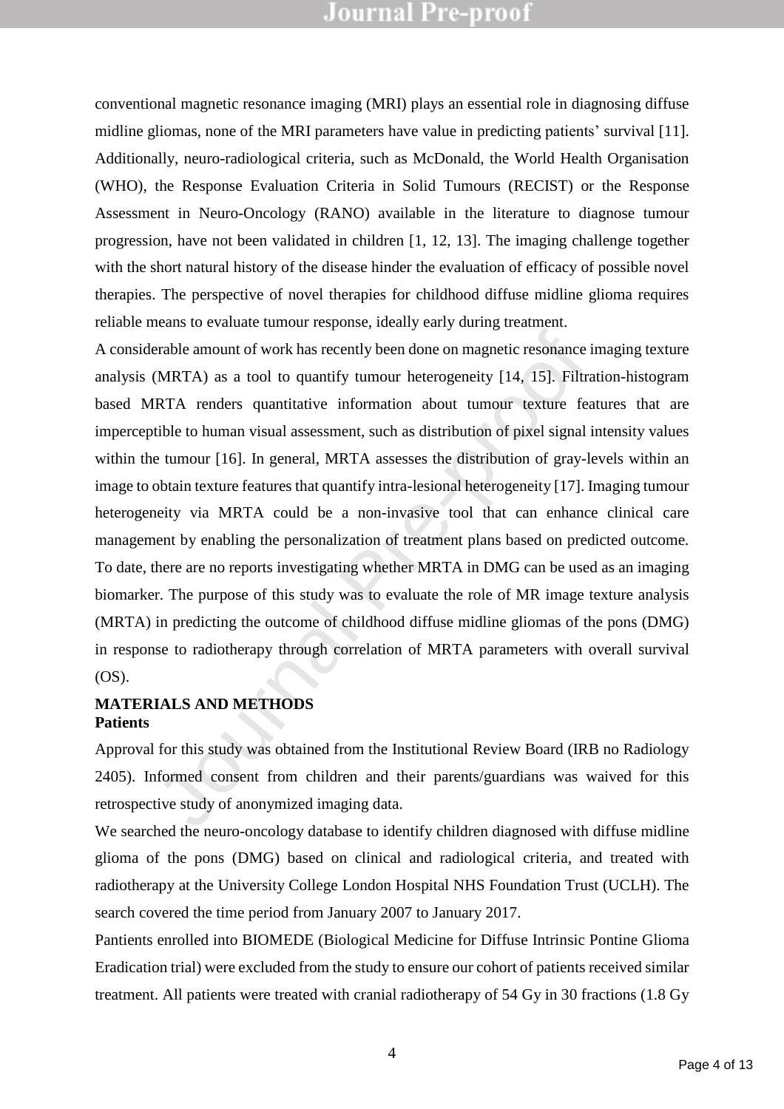conventional magnetic resonance imaging (MRI) plays an essential role in diagnosing diffuse midline gliomas, none of the MRI parameters have value in predicting patients' survival [11]. Additionally, neuro-radiological criteria, such as McDonald, the World Health Organisation (WHO), the Response Evaluation Criteria in Solid Tumours (RECIST) or the Response Assessment in Neuro-Oncology (RANO) available in the literature to diagnose tumour progression, have not been validated in children [1, 12, 13]. The imaging challenge together with the short natural history of the disease hinder the evaluation of efficacy of possible novel therapies. The perspective of novel therapies for childhood diffuse midline glioma requires reliable means to evaluate tumour response, ideally early during treatment.

erable amount of work has recently been done on magnetic resonance in<br>
(MRTA) as a tool to quantify tumour heterogeneity [14, 15]. Filtra<br>
RTA renders quantitative information about tumour texture fea<br>
fible to human visua A considerable amount of work has recently been done on magnetic resonance imaging texture analysis (MRTA) as a tool to quantify tumour heterogeneity [14, 15]. Filtration-histogram based MRTA renders quantitative information about tumour texture features that are imperceptible to human visual assessment, such as distribution of pixel signal intensity values within the tumour [16]. In general, MRTA assesses the distribution of gray-levels within an image to obtain texture features that quantify intra-lesional heterogeneity [17]. Imaging tumour heterogeneity via MRTA could be a non-invasive tool that can enhance clinical care management by enabling the personalization of treatment plans based on predicted outcome. To date, there are no reports investigating whether MRTA in DMG can be used as an imaging biomarker. The purpose of this study was to evaluate the role of MR image texture analysis (MRTA) in predicting the outcome of childhood diffuse midline gliomas of the pons (DMG) in response to radiotherapy through correlation of MRTA parameters with overall survival (OS).

### **MATERIALS AND METHODS Patients**

Approval for this study was obtained from the Institutional Review Board (IRB no Radiology 2405). Informed consent from children and their parents/guardians was waived for this retrospective study of anonymized imaging data.

We searched the neuro-oncology database to identify children diagnosed with diffuse midline glioma of the pons (DMG) based on clinical and radiological criteria, and treated with radiotherapy at the University College London Hospital NHS Foundation Trust (UCLH). The search covered the time period from January 2007 to January 2017.

Pantients enrolled into BIOMEDE (Biological Medicine for Diffuse Intrinsic Pontine Glioma Eradication trial) were excluded from the study to ensure our cohort of patients received similar treatment. All patients were treated with cranial radiotherapy of 54 Gy in 30 fractions (1.8 Gy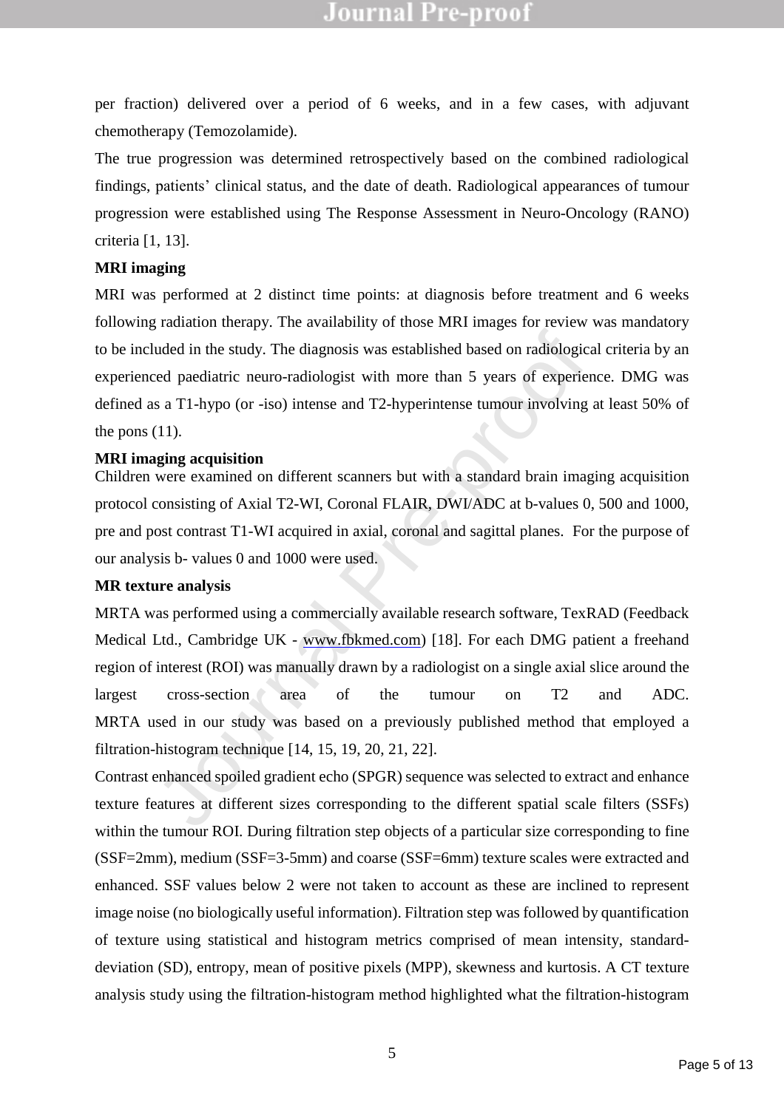per fraction) delivered over a period of 6 weeks, and in a few cases, with adjuvant chemotherapy (Temozolamide).

The true progression was determined retrospectively based on the combined radiological findings, patients' clinical status, and the date of death. Radiological appearances of tumour progression were established using The Response Assessment in Neuro-Oncology (RANO) criteria [1, 13].

### **MRI imaging**

MRI was performed at 2 distinct time points: at diagnosis before treatment and 6 weeks following radiation therapy. The availability of those MRI images for review was mandatory to be included in the study. The diagnosis was established based on radiological criteria by an experienced paediatric neuro-radiologist with more than 5 years of experience. DMG was defined as a T1-hypo (or -iso) intense and T2-hyperintense tumour involving at least 50% of the pons  $(11)$ .

### **MRI imaging acquisition**

Children were examined on different scanners but with a standard brain imaging acquisition protocol consisting of Axial T2-WI, Coronal FLAIR, DWI/ADC at b-values 0, 500 and 1000, pre and post contrast T1-WI acquired in axial, coronal and sagittal planes. For the purpose of our analysis b- values 0 and 1000 were used.

### **MR texture analysis**

uded in the study. The diagnosis was established based on radiological<br>read paediatric neuro-radiologist with more than 5 years of experien<br>s a T1-hypo (or -iso) intense and T2-hyperintense tumour involving a<br>(11).<br>The seq MRTA was performed using a commercially available research software, TexRAD (Feedback Medical Ltd., Cambridge UK - www.fbkmed.com) [18]. For each DMG patient a freehand region of interest (ROI) was manually drawn by a radiologist on a single axial slice around the largest cross-section area of the tumour on T2 and ADC. MRTA used in our study was based on a previously published method that employed a filtration-histogram technique [14, 15, 19, 20, 21, 22].

Contrast enhanced spoiled gradient echo (SPGR) sequence was selected to extract and enhance texture features at different sizes corresponding to the different spatial scale filters (SSFs) within the tumour ROI. During filtration step objects of a particular size corresponding to fine (SSF=2mm), medium (SSF=3-5mm) and coarse (SSF=6mm) texture scales were extracted and enhanced. SSF values below 2 were not taken to account as these are inclined to represent image noise (no biologically useful information). Filtration step was followed by quantification of texture using statistical and histogram metrics comprised of mean intensity, standarddeviation (SD), entropy, mean of positive pixels (MPP), skewness and kurtosis. A CT texture analysis study using the filtration-histogram method highlighted what the filtration-histogram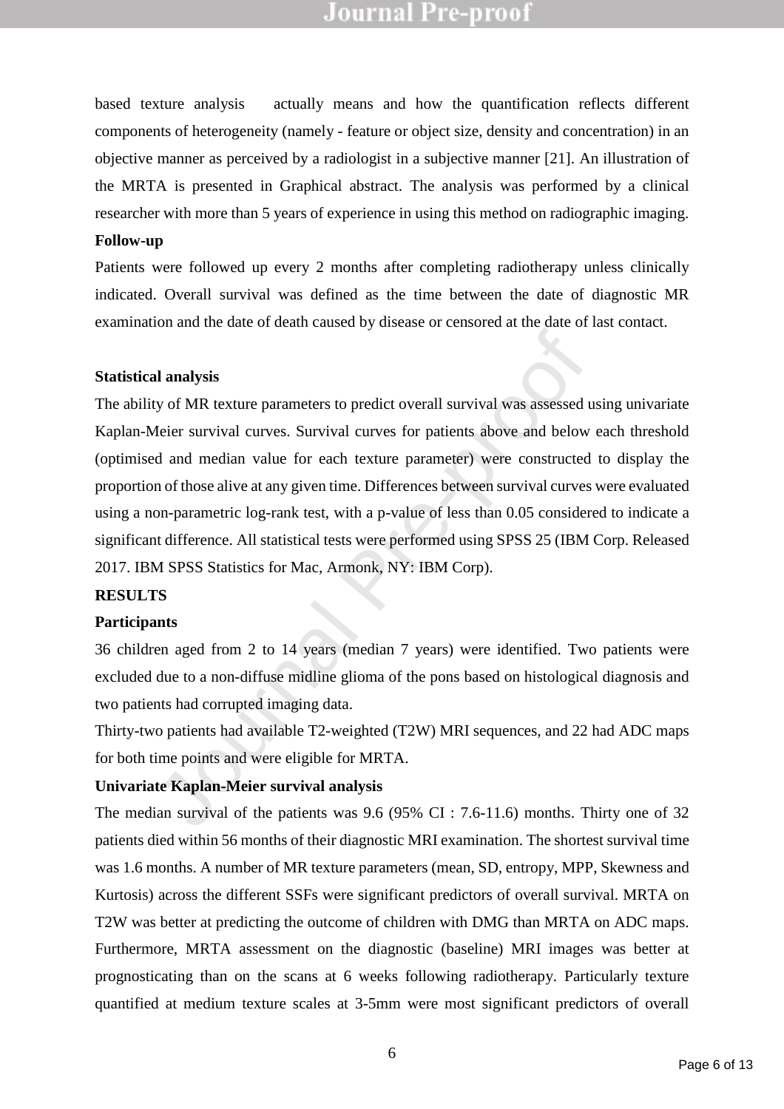based texture analysis actually means and how the quantification reflects different components of heterogeneity (namely - feature or object size, density and concentration) in an objective manner as perceived by a radiologist in a subjective manner [21]. An illustration of the MRTA is presented in Graphical abstract. The analysis was performed by a clinical researcher with more than 5 years of experience in using this method on radiographic imaging.

### **Follow-up**

Patients were followed up every 2 months after completing radiotherapy unless clinically indicated. Overall survival was defined as the time between the date of diagnostic MR examination and the date of death caused by disease or censored at the date of last contact.

#### **Statistical analysis**

**analysis**<br>
Sumplysis<br>
Survival curves. Survival curves for patients above and below<br>
deler survival curves. Survival curves for patients above and below<br>
d and median value for each texture parameter) were constructed<br>
n The ability of MR texture parameters to predict overall survival was assessed using univariate Kaplan-Meier survival curves. Survival curves for patients above and below each threshold (optimised and median value for each texture parameter) were constructed to display the proportion of those alive at any given time. Differences between survival curves were evaluated using a non-parametric log-rank test, with a p-value of less than 0.05 considered to indicate a significant difference. All statistical tests were performed using SPSS 25 (IBM Corp. Released 2017. IBM SPSS Statistics for Mac, Armonk, NY: IBM Corp).

#### **RESULTS**

#### **Participants**

36 children aged from 2 to 14 years (median 7 years) were identified. Two patients were excluded due to a non-diffuse midline glioma of the pons based on histological diagnosis and two patients had corrupted imaging data.

Thirty-two patients had available T2-weighted (T2W) MRI sequences, and 22 had ADC maps for both time points and were eligible for MRTA.

### **Univariate Kaplan-Meier survival analysis**

The median survival of the patients was 9.6 (95% CI : 7.6-11.6) months. Thirty one of 32 patients died within 56 months of their diagnostic MRI examination. The shortest survival time was 1.6 months. A number of MR texture parameters (mean, SD, entropy, MPP, Skewness and Kurtosis) across the different SSFs were significant predictors of overall survival. MRTA on T2W was better at predicting the outcome of children with DMG than MRTA on ADC maps. Furthermore, MRTA assessment on the diagnostic (baseline) MRI images was better at prognosticating than on the scans at 6 weeks following radiotherapy. Particularly texture quantified at medium texture scales at 3-5mm were most significant predictors of overall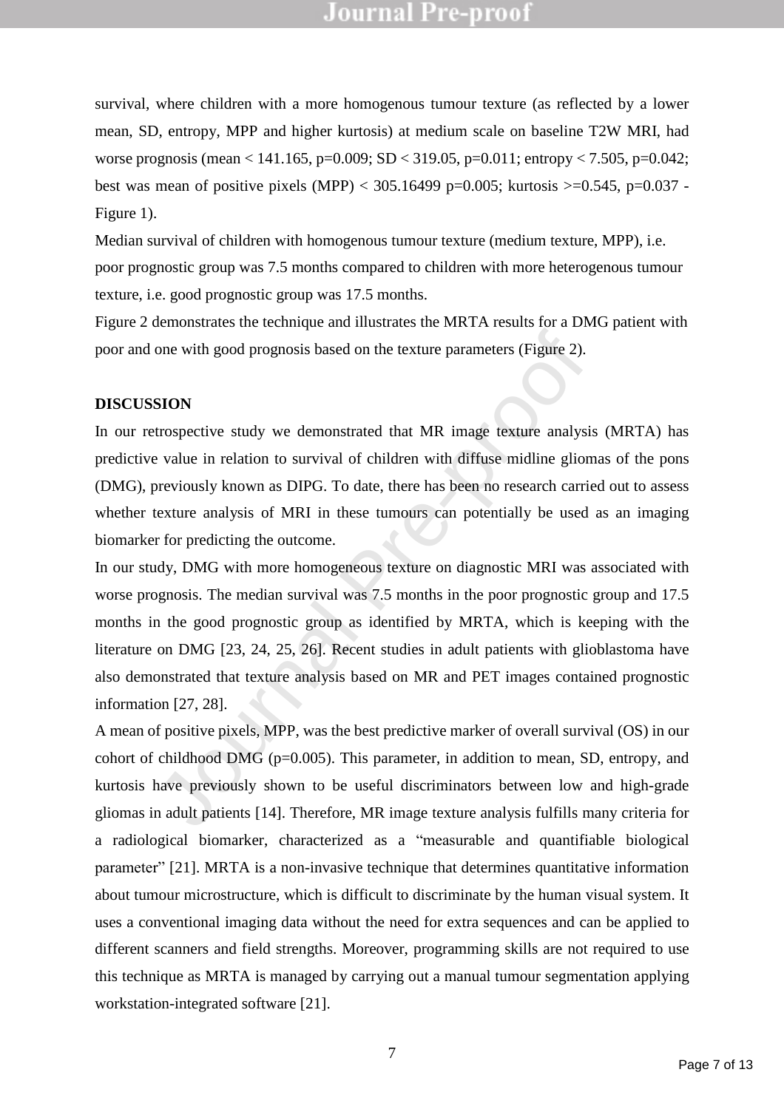survival, where children with a more homogenous tumour texture (as reflected by a lower mean, SD, entropy, MPP and higher kurtosis) at medium scale on baseline T2W MRI, had worse prognosis (mean < 141.165, p=0.009; SD < 319.05, p=0.011; entropy < 7.505, p=0.042; best was mean of positive pixels (MPP) <  $305.16499$  p=0.005; kurtosis >=0.545, p=0.037 -Figure 1).

Median survival of children with homogenous tumour texture (medium texture, MPP), i.e. poor prognostic group was 7.5 months compared to children with more heterogenous tumour texture, i.e. good prognostic group was 17.5 months.

Figure 2 demonstrates the technique and illustrates the MRTA results for a DMG patient with poor and one with good prognosis based on the texture parameters (Figure 2).

#### **DISCUSSION**

In our retrospective study we demonstrated that MR image texture analysis (MRTA) has predictive value in relation to survival of children with diffuse midline gliomas of the pons (DMG), previously known as DIPG. To date, there has been no research carried out to assess whether texture analysis of MRI in these tumours can potentially be used as an imaging biomarker for predicting the outcome.

one with good prognosis based on the texture parameters (Figure 2).<br> **SION**<br>
SION<br>
SION<br>
SION<br>
SION<br>
SION<br>
SION<br>
SION<br>
SION<br>
SION<br>
SION<br>
SION<br>
SION<br>
SION<br>
SION<br>
SION<br>
SION<br>
SION<br>
SION<br>
SION<br>
SION<br>
SION<br>
SION<br>
SION SION OF In our study, DMG with more homogeneous texture on diagnostic MRI was associated with worse prognosis. The median survival was 7.5 months in the poor prognostic group and 17.5 months in the good prognostic group as identified by MRTA, which is keeping with the literature on DMG [23, 24, 25, 26]. Recent studies in adult patients with glioblastoma have also demonstrated that texture analysis based on MR and PET images contained prognostic information [27, 28].

A mean of positive pixels, MPP, was the best predictive marker of overall survival (OS) in our cohort of childhood DMG (p=0.005). This parameter, in addition to mean, SD, entropy, and kurtosis have previously shown to be useful discriminators between low and high-grade gliomas in adult patients [14]. Therefore, MR image texture analysis fulfills many criteria for a radiological biomarker, characterized as a "measurable and quantifiable biological parameter" [21]. MRTA is a non-invasive technique that determines quantitative information about tumour microstructure, which is difficult to discriminate by the human visual system. It uses a conventional imaging data without the need for extra sequences and can be applied to different scanners and field strengths. Moreover, programming skills are not required to use this technique as MRTA is managed by carrying out a manual tumour segmentation applying workstation-integrated software [21].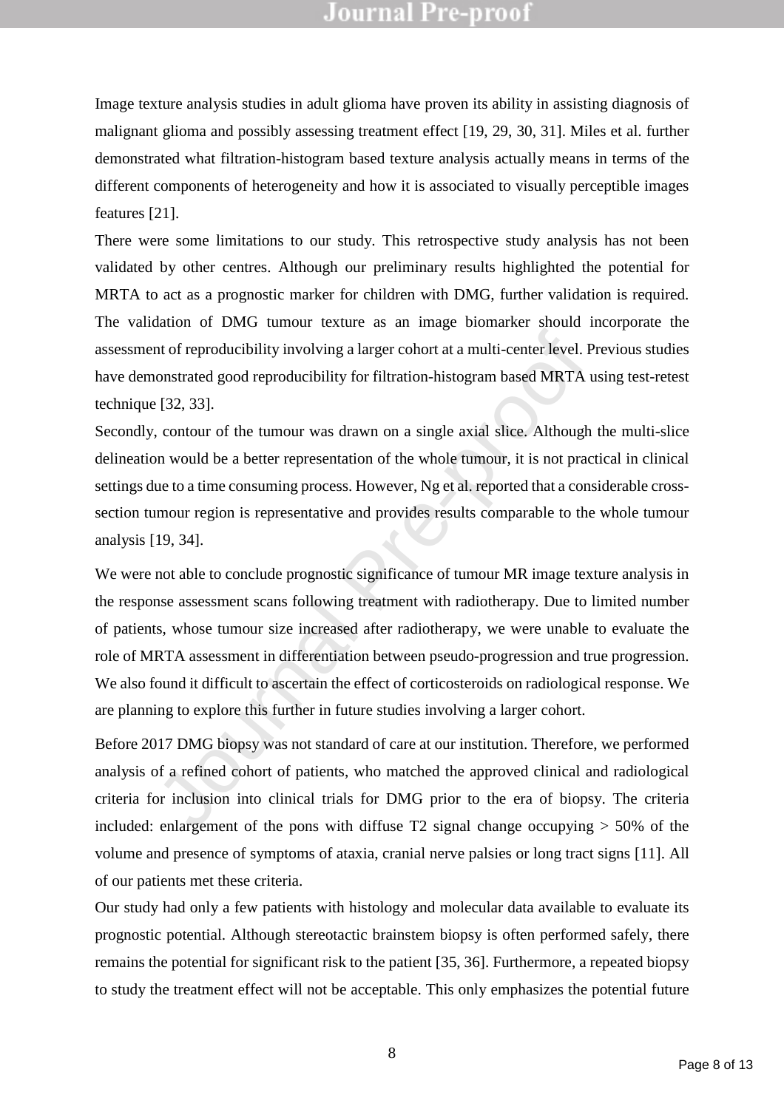Image texture analysis studies in adult glioma have proven its ability in assisting diagnosis of malignant glioma and possibly assessing treatment effect [19, 29, 30, 31]. Miles et al. further demonstrated what filtration-histogram based texture analysis actually means in terms of the different components of heterogeneity and how it is associated to visually perceptible images features [21].

There were some limitations to our study. This retrospective study analysis has not been validated by other centres. Although our preliminary results highlighted the potential for MRTA to act as a prognostic marker for children with DMG, further validation is required. The validation of DMG tumour texture as an image biomarker should incorporate the assessment of reproducibility involving a larger cohort at a multi-center level. Previous studies have demonstrated good reproducibility for filtration-histogram based MRTA using test-retest technique [32, 33].

Secondly, contour of the tumour was drawn on a single axial slice. Although the multi-slice delineation would be a better representation of the whole tumour, it is not practical in clinical settings due to a time consuming process. However, Ng et al. reported that a considerable crosssection tumour region is representative and provides results comparable to the whole tumour analysis [19, 34].

Introf reproducibility involving a larger cohort at a multi-center level. Pronostrated good reproducibility for filtration-histogram based MRTA u<br>
192, 33].<br>
2. contour of the tumour was drawn on a single axial slice. Alth We were not able to conclude prognostic significance of tumour MR image texture analysis in the response assessment scans following treatment with radiotherapy. Due to limited number of patients, whose tumour size increased after radiotherapy, we were unable to evaluate the role of MRTA assessment in differentiation between pseudo-progression and true progression. We also found it difficult to ascertain the effect of corticosteroids on radiological response. We are planning to explore this further in future studies involving a larger cohort.

Before 2017 DMG biopsy was not standard of care at our institution. Therefore, we performed analysis of a refined cohort of patients, who matched the approved clinical and radiological criteria for inclusion into clinical trials for DMG prior to the era of biopsy. The criteria included: enlargement of the pons with diffuse  $T2$  signal change occupying  $> 50\%$  of the volume and presence of symptoms of ataxia, cranial nerve palsies or long tract signs [11]. All of our patients met these criteria.

Our study had only a few patients with histology and molecular data available to evaluate its prognostic potential. Although stereotactic brainstem biopsy is often performed safely, there remains the potential for significant risk to the patient [35, 36]. Furthermore, a repeated biopsy to study the treatment effect will not be acceptable. This only emphasizes the potential future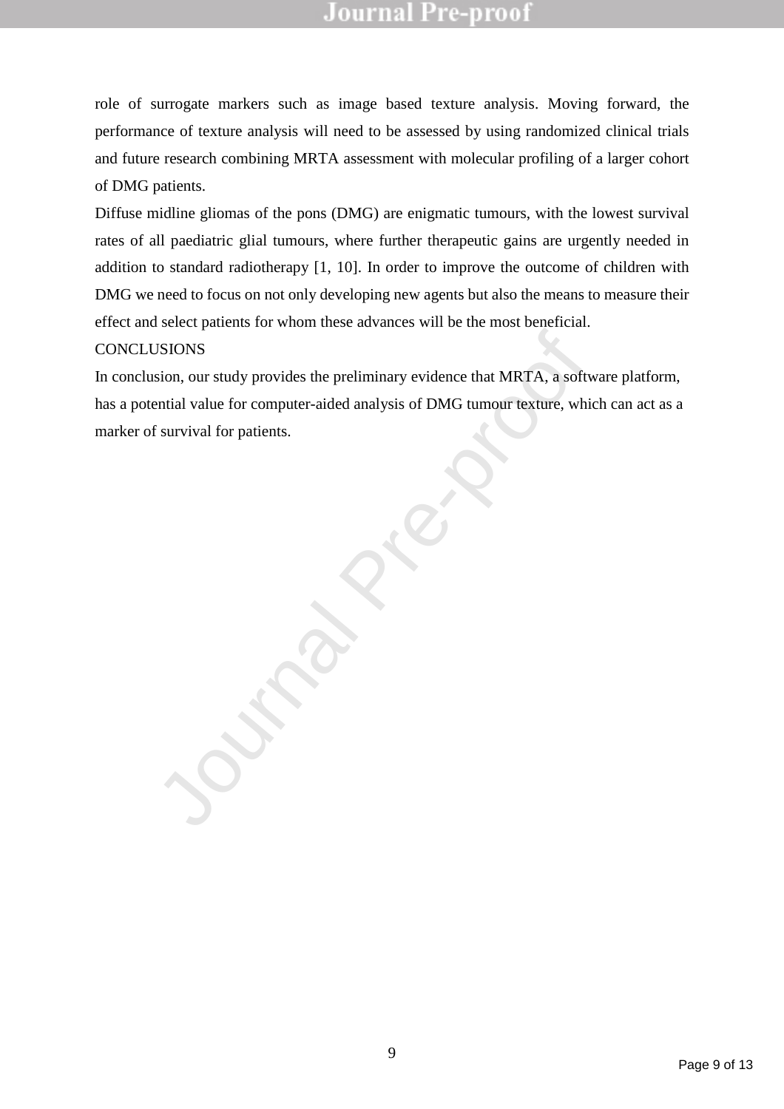role of surrogate markers such as image based texture analysis. Moving forward, the performance of texture analysis will need to be assessed by using randomized clinical trials and future research combining MRTA assessment with molecular profiling of a larger cohort of DMG patients.

Diffuse midline gliomas of the pons (DMG) are enigmatic tumours, with the lowest survival rates of all paediatric glial tumours, where further therapeutic gains are urgently needed in addition to standard radiotherapy [1, 10]. In order to improve the outcome of children with DMG we need to focus on not only developing new agents but also the means to measure their effect and select patients for whom these advances will be the most beneficial.

### **CONCLUSIONS**

JSIONS<br>
sion, our study provides the preliminary evidence that MRTA, a softwaridal value for computer-aided analysis of DMG tumour texture, which<br>
f survival for patients. In conclusion, our study provides the preliminary evidence that MRTA, a software platform, has a potential value for computer-aided analysis of DMG tumour texture, which can act as a marker of survival for patients.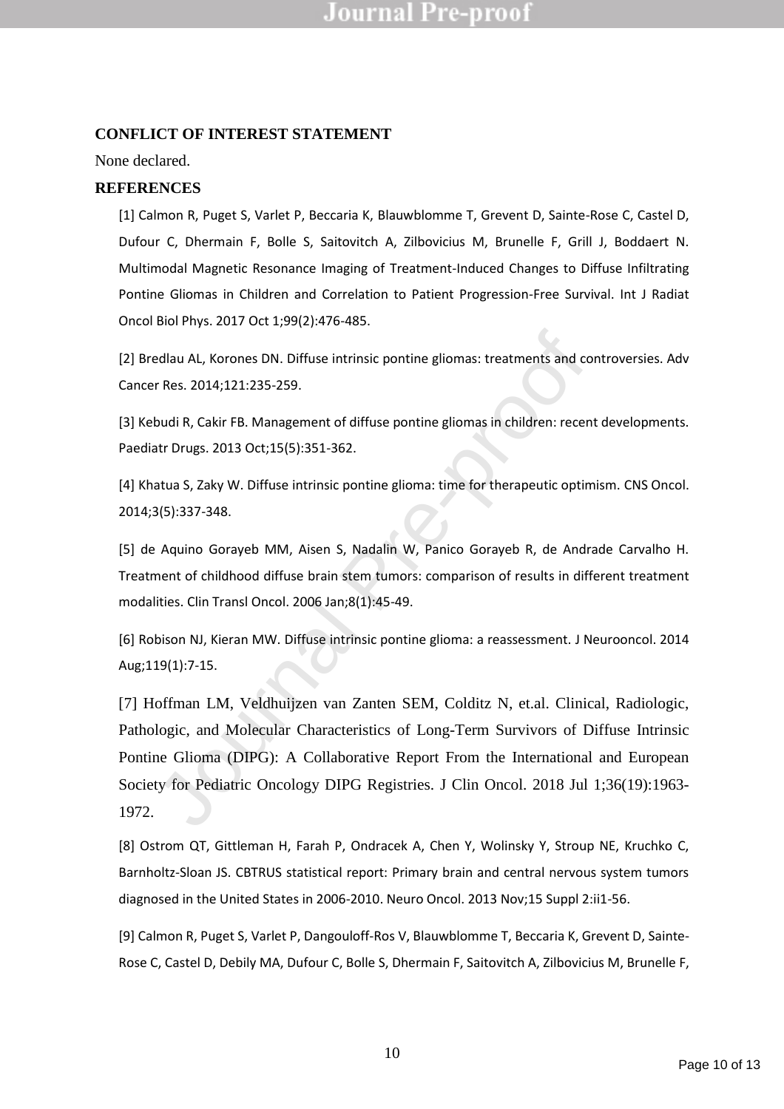### **CONFLICT OF INTEREST STATEMENT**

### None declared.

## **REFERENCES**

[1] Calmon R, Puget S, Varlet P, Beccaria K, Blauwblomme T, Grevent D, Sainte-Rose C, Castel D, Dufour C, Dhermain F, Bolle S, Saitovitch A, Zilbovicius M, Brunelle F, Grill J, Boddaert N. Multimodal Magnetic Resonance Imaging of Treatment-Induced Changes to Diffuse Infiltrating Pontine Gliomas in Children and Correlation to Patient Progression-Free Survival. Int J Radiat Oncol Biol Phys. 2017 Oct 1;99(2):476-485.

[2] Bredlau AL, Korones DN. Diffuse intrinsic pontine gliomas: treatments and controversies. Adv Cancer Res. 2014;121:235-259.

[3] Kebudi R, Cakir FB. Management of diffuse pontine gliomas in children: recent developments. Paediatr Drugs. 2013 Oct;15(5):351-362.

[4] Khatua S, Zaky W. Diffuse intrinsic pontine glioma: time for therapeutic optimism. CNS Oncol. 2014;3(5):337-348.

[5] de Aquino Gorayeb MM, Aisen S, Nadalin W, Panico Gorayeb R, de Andrade Carvalho H. Treatment of childhood diffuse brain stem tumors: comparison of results in different treatment modalities. Clin Transl Oncol. 2006 Jan;8(1):45-49.

[6] Robison NJ, Kieran MW. Diffuse intrinsic pontine glioma: a reassessment. J Neurooncol. 2014 Aug;119(1):7-15.

edlau AL, Korones DN. Diffuse intrinsic pontine gliomas: treatments and cor<br>
Res. 2014;121:235-259.<br>
budi R, Cakir FB. Management of diffuse pontine gliomas in children: recent<br>
atr Drugs. 2013 Oct;15(5):351-362.<br>
atua S, [7] Hoffman LM, Veldhuijzen van Zanten SEM, Colditz N, et.al. Clinical, Radiologic, Pathologic, and Molecular Characteristics of Long-Term Survivors of Diffuse Intrinsic Pontine Glioma (DIPG): A Collaborative Report From the International and European Society for Pediatric Oncology DIPG Registries. J Clin Oncol. 2018 Jul 1;36(19):1963- 1972.

[8] Ostrom QT, Gittleman H, Farah P, Ondracek A, Chen Y, Wolinsky Y, Stroup NE, Kruchko C, Barnholtz-Sloan JS. CBTRUS statistical report: Primary brain and central nervous system tumors diagnosed in the United States in 2006-2010. Neuro Oncol. 2013 Nov;15 Suppl 2:ii1-56.

[9] Calmon R, Puget S, Varlet P, Dangouloff-Ros V, Blauwblomme T, Beccaria K, Grevent D, Sainte-Rose C, Castel D, Debily MA, Dufour C, Bolle S, Dhermain F, Saitovitch A, Zilbovicius M, Brunelle F,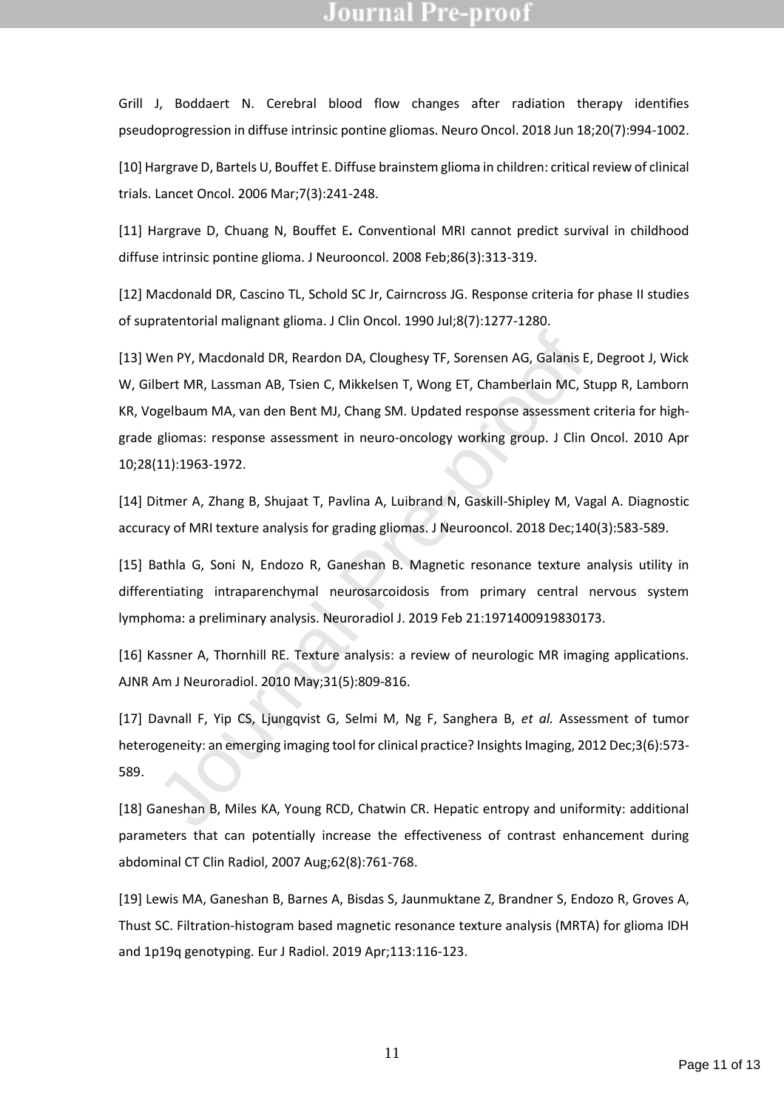Grill J, Boddaert N. Cerebral blood flow changes after radiation therapy identifies pseudoprogression in diffuse intrinsic pontine gliomas. Neuro Oncol. 2018 Jun 18;20(7):994-1002.

[10] Hargrave D, Bartels U, Bouffet E. Diffuse brainstem glioma in children: critical review of clinical trials. Lancet Oncol. 2006 Mar;7(3):241-248.

[11] Hargrave D, Chuang N, Bouffet E**.** Conventional MRI cannot predict survival in childhood diffuse intrinsic pontine glioma. J Neurooncol. 2008 Feb;86(3):313-319.

[12] Macdonald DR, Cascino TL, Schold SC Jr, Cairncross JG. Response criteria for phase II studies of supratentorial malignant glioma. J Clin Oncol. 1990 Jul;8(7):1277-1280.

Ven PY, Macdonald DR, Reardon DA, Cloughesy TF, Sorensen AG, Galanis E,<br>bert MR, Lassman AB, Tsien C, Mikkelsen T, Wong ET, Chamberlain MC, Stigelbaum MA, van den Bent MJ, Chang SM. Updated response assessment r<br>gliomas: r [13] Wen PY, Macdonald DR, Reardon DA, Cloughesy TF, Sorensen AG, Galanis E, Degroot J, Wick W, Gilbert MR, Lassman AB, Tsien C, Mikkelsen T, Wong ET, Chamberlain MC, Stupp R, Lamborn KR, Vogelbaum MA, van den Bent MJ, Chang SM. Updated response assessment criteria for highgrade gliomas: response assessment in neuro-oncology working group. J Clin Oncol. 2010 Apr 10;28(11):1963-1972.

[14] Ditmer A, Zhang B, Shujaat T, Pavlina A, Luibrand N, Gaskill-Shipley M, Vagal A. Diagnostic accuracy of MRI texture analysis for grading gliomas. J Neurooncol. 2018 Dec;140(3):583-589.

[15] Bathla G, Soni N, Endozo R, Ganeshan B. Magnetic resonance texture analysis utility in differentiating intraparenchymal neurosarcoidosis from primary central nervous system lymphoma: a preliminary analysis. Neuroradiol J. 2019 Feb 21:1971400919830173.

[16] Kassner A, Thornhill RE. Texture analysis: a review of neurologic MR imaging applications. AJNR Am J Neuroradiol. 2010 May;31(5):809-816.

[17] Davnall F, Yip CS, Ljungqvist G, Selmi M, Ng F, Sanghera B, *et al.* Assessment of tumor heterogeneity: an emerging imaging tool for clinical practice? Insights Imaging, 2012 Dec;3(6):573- 589.

[18] Ganeshan B, Miles KA, Young RCD, Chatwin CR. Hepatic entropy and uniformity: additional parameters that can potentially increase the effectiveness of contrast enhancement during abdominal CT Clin Radiol, 2007 Aug;62(8):761-768.

[19] Lewis MA, Ganeshan B, Barnes A, Bisdas S, Jaunmuktane Z, Brandner S, Endozo R, Groves A, Thust SC. Filtration-histogram based magnetic resonance texture analysis (MRTA) for glioma IDH and 1p19q genotyping. Eur J Radiol. 2019 Apr;113:116-123.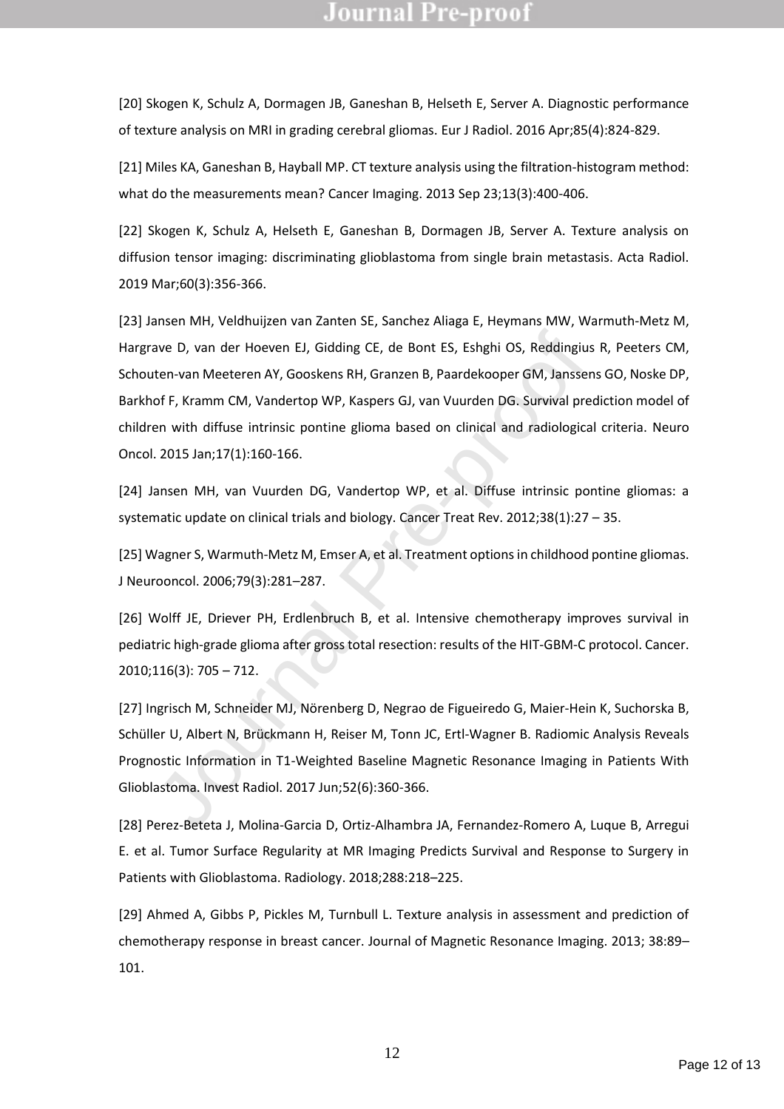[20] Skogen K, Schulz A, Dormagen JB, Ganeshan B, Helseth E, Server A. Diagnostic performance of texture analysis on MRI in grading cerebral gliomas. Eur J Radiol. 2016 Apr;85(4):824-829.

[21] Miles KA, Ganeshan B, Hayball MP. CT texture analysis using the filtration-histogram method: what do the measurements mean? Cancer Imaging. 2013 Sep 23;13(3):400-406.

[22] Skogen K, Schulz A, Helseth E, Ganeshan B, Dormagen JB, Server A. Texture analysis on diffusion tensor imaging: discriminating glioblastoma from single brain metastasis. Acta Radiol. 2019 Mar;60(3):356-366.

ave D, van der Hoeven EJ, Gidding CE, de Bont ES, Eshghi OS, Reddingius<br>ten-van Meeteren AY, Gooskens RH, Granzen B, Paardekooper GM, Janssen<br>of F, Kramm CM, Vandertop WP, Kaspers GJ, van Vuurden DG. Survival precen<br>en wit [23] Jansen MH, Veldhuijzen van Zanten SE, Sanchez Aliaga E, Heymans MW, Warmuth-Metz M, Hargrave D, van der Hoeven EJ, Gidding CE, de Bont ES, Eshghi OS, Reddingius R, Peeters CM, Schouten-van Meeteren AY, Gooskens RH, Granzen B, Paardekooper GM, Janssens GO, Noske DP, Barkhof F, Kramm CM, Vandertop WP, Kaspers GJ, van Vuurden DG. Survival prediction model of children with diffuse intrinsic pontine glioma based on clinical and radiological criteria. Neuro Oncol. 2015 Jan;17(1):160-166.

[24] Jansen MH, van Vuurden DG, Vandertop WP, et al. Diffuse intrinsic pontine gliomas: a systematic update on clinical trials and biology. Cancer Treat Rev. 2012;38(1):27 – 35.

[25] Wagner S, Warmuth-Metz M, Emser A, et al. Treatment options in childhood pontine gliomas. J Neurooncol. 2006;79(3):281–287.

[26] Wolff JE, Driever PH, Erdlenbruch B, et al. Intensive chemotherapy improves survival in pediatric high-grade glioma after gross total resection: results of the HIT-GBM-C protocol. Cancer. 2010;116(3): 705 – 712.

[27] Ingrisch M, Schneider MJ, Nörenberg D, Negrao de Figueiredo G, Maier-Hein K, Suchorska B, Schüller U, Albert N, Brückmann H, Reiser M, Tonn JC, Ertl-Wagner B. Radiomic Analysis Reveals Prognostic Information in T1-Weighted Baseline Magnetic Resonance Imaging in Patients With Glioblastoma. Invest Radiol. 2017 Jun;52(6):360-366.

[28] Perez-Beteta J, Molina-Garcia D, Ortiz-Alhambra JA, Fernandez-Romero A, Luque B, Arregui E. et al. Tumor Surface Regularity at MR Imaging Predicts Survival and Response to Surgery in Patients with Glioblastoma. Radiology. 2018;288:218–225.

[29] Ahmed A, Gibbs P, Pickles M, Turnbull L. Texture analysis in assessment and prediction of chemotherapy response in breast cancer. Journal of Magnetic Resonance Imaging. 2013; 38:89– 101.